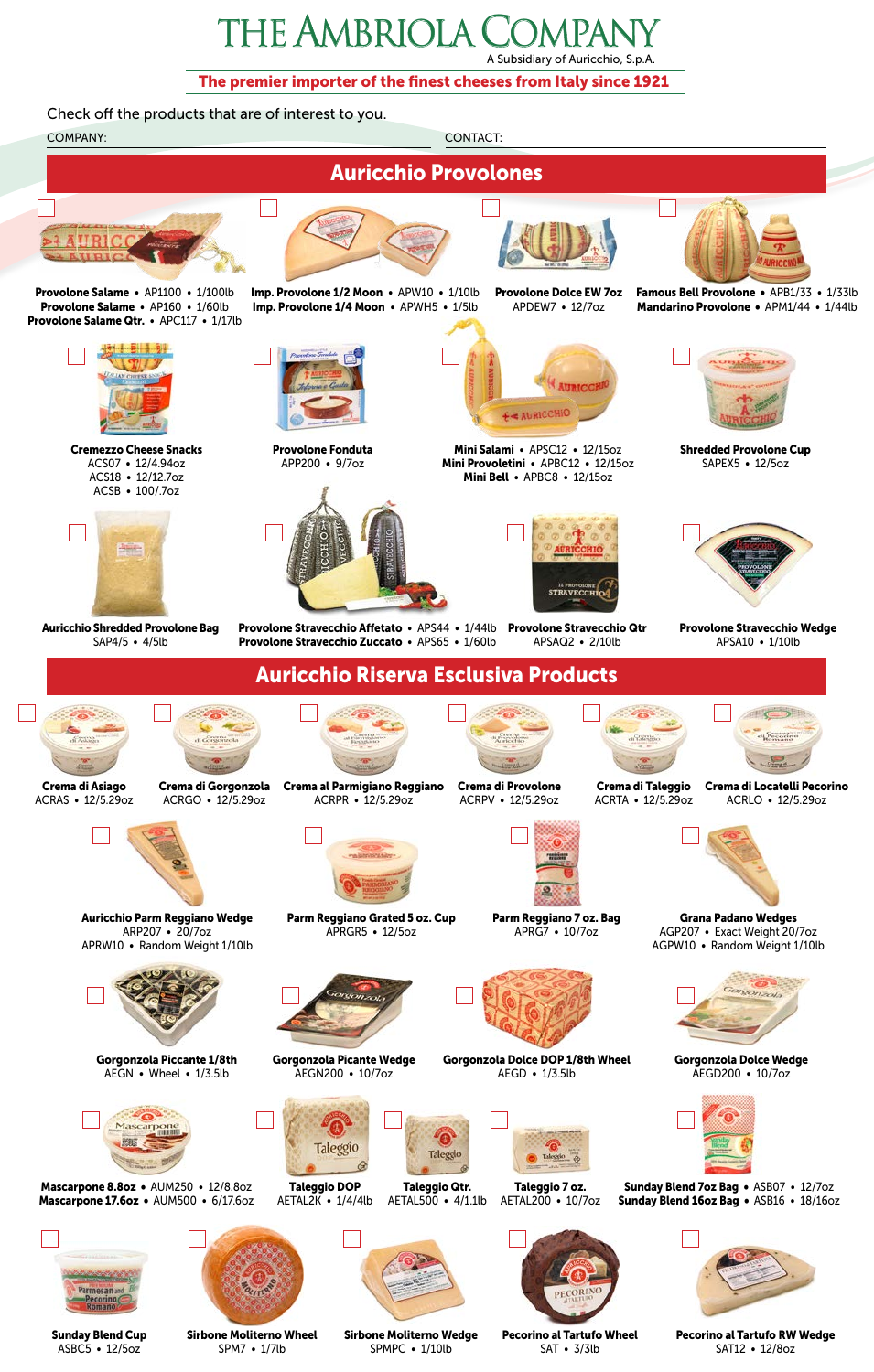## The Ambriola Company A Subsidiary of Auricchio, S.p.A.

The premier importer of the finest cheeses from Italy since 1921



Sunday Blend Cup ASBC5 • 12/5oz

Sirbone Moliterno Wheel SPM7 • 1/7lb

Sirbone Moliterno Wedge SPMPC • 1/10lb

Pecorino al Tartufo Wheel SAT • 3/3lb

Pecorino al Tartufo RW Wedge SAT12 • 12/8oz